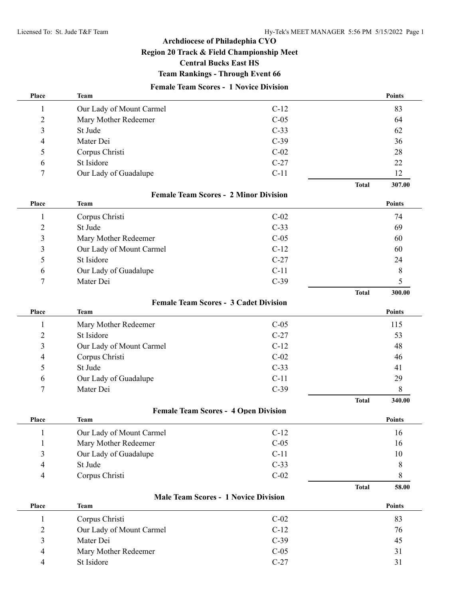**Total 300.00**

**Total 340.00**

**Total 58.00**

## **Archdiocese of Philadephia CYO**

**Region 20 Track & Field Championship Meet**

### **Central Bucks East HS**

### **Team Rankings - Through Event 66**

## **Female Team Scores - 1 Novice Division**

| Place           | <b>Team</b>              |        |              | <b>Points</b> |
|-----------------|--------------------------|--------|--------------|---------------|
|                 | Our Lady of Mount Carmel | $C-12$ |              | 83            |
| 2               | Mary Mother Redeemer     | $C-05$ |              | 64            |
| 3               | St Jude                  | $C-33$ |              | 62            |
| $\overline{4}$  | Mater Dei                | $C-39$ |              | 36            |
| 5               | Corpus Christi           | $C-02$ |              | 28            |
| 6               | St Isidore               | $C-27$ |              | 22            |
| $7\phantom{.0}$ | Our Lady of Guadalupe    | $C-11$ |              | 12            |
|                 |                          |        | <b>Total</b> | 307.00        |

### **Female Team Scores - 2 Minor Division**

| Place | Team                     |        | <b>Points</b> |
|-------|--------------------------|--------|---------------|
|       | Corpus Christi           | $C-02$ | 74            |
| 2     | St Jude                  | $C-33$ | 69            |
| 3     | Mary Mother Redeemer     | $C-05$ | 60            |
| 3     | Our Lady of Mount Carmel | $C-12$ | 60            |
| 5     | St Isidore               | $C-27$ | 24            |
| 6     | Our Lady of Guadalupe    | $C-11$ |               |
| π     | Mater Dei                | $C-39$ |               |

#### **Female Team Scores - 3 Cadet Division**

| Place          | Team                     |        | <b>Points</b> |
|----------------|--------------------------|--------|---------------|
|                | Mary Mother Redeemer     | $C-05$ | 115           |
| 2              | St Isidore               | $C-27$ | 53            |
| 3              | Our Lady of Mount Carmel | $C-12$ | 48            |
| $\overline{4}$ | Corpus Christi           | $C-02$ | 46            |
| 5.             | St Jude                  | $C-33$ | 41            |
| 6              | Our Lady of Guadalupe    | $C-11$ | 29            |
| $\mathbf{r}$   | Mater Dei                | $C-39$ |               |

#### **Female Team Scores - 4 Open Division**

| Place | Team                     |        | <b>Points</b> |
|-------|--------------------------|--------|---------------|
|       | Our Lady of Mount Carmel | $C-12$ | 16            |
|       | Mary Mother Redeemer     | $C-05$ | 16            |
| 3     | Our Lady of Guadalupe    | $C-11$ | 10            |
| 4     | St Jude                  | $C-33$ |               |
| 4     | Corpus Christi           | $C-02$ |               |

#### **Male Team Scores - 1 Novice Division**

| Place | Team                     |        | <b>Points</b> |
|-------|--------------------------|--------|---------------|
|       | Corpus Christi           | $C-02$ | 83            |
|       | Our Lady of Mount Carmel | $C-12$ | 76            |
|       | Mater Dei                | $C-39$ | 45            |
| 4     | Mary Mother Redeemer     | $C-05$ | 31            |
| 4     | St Isidore               | $C-27$ | 31            |